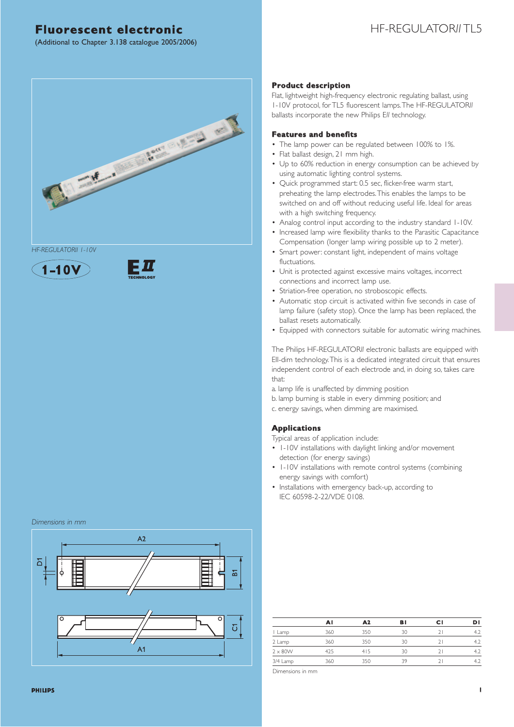### HF-REGULATOR*II* TL5

(Additional to Chapter 3.138 catalogue 2005/2006)



*HF-REGULATORII 1-10V*





#### *Dimensions in mm*



#### *Product description*

Flat, lightweight high-frequency electronic regulating ballast, using 1-10V protocol, for TL5 fluorescent lamps.The HF-REGULATOR*II* ballasts incorporate the new Philips E*II* technology.

#### *Features and benefits*

- The lamp power can be regulated between 100% to 1%.
- Flat ballast design, 21 mm high.
- Up to 60% reduction in energy consumption can be achieved by using automatic lighting control systems.
- Quick programmed start: 0.5 sec, flicker-free warm start, preheating the lamp electrodes.This enables the lamps to be switched on and off without reducing useful life. Ideal for areas with a high switching frequency.
- Analog control input according to the industry standard 1-10V.
- Increased lamp wire flexibility thanks to the Parasitic Capacitance Compensation (longer lamp wiring possible up to 2 meter).
- Smart power: constant light, independent of mains voltage fluctuations.
- Unit is protected against excessive mains voltages, incorrect connections and incorrect lamp use.
- Striation-free operation, no stroboscopic effects.
- Automatic stop circuit is activated within five seconds in case of lamp failure (safety stop). Once the lamp has been replaced, the ballast resets automatically.
- Equipped with connectors suitable for automatic wiring machines.

The Philips HF-REGULATOR*II* electronic ballasts are equipped with EII-dim technology.This is a dedicated integrated circuit that ensures independent control of each electrode and, in doing so, takes care that:

a. lamp life is unaffected by dimming position

- b. lamp burning is stable in every dimming position; and
- c. energy savings, when dimming are maximised.

#### *Applications*

Typical areas of application include:

- 1-10V installations with daylight linking and/or movement detection (for energy savings)
- 1-10V installations with remote control systems (combining energy savings with comfort)
- Installations with emergency back-up, according to IEC 60598-2-22/VDE 0108.

|                | AI  | A2  | B۱ | сı | DI |
|----------------|-----|-----|----|----|----|
| Lamp           | 360 | 350 | 30 |    |    |
| 2 Lamp         | 360 | 350 | 30 |    |    |
| $2 \times 80W$ | 425 | 415 | 30 |    |    |
| 3/4 Lamp       | 360 | 350 | 39 |    |    |

Dimensions in mm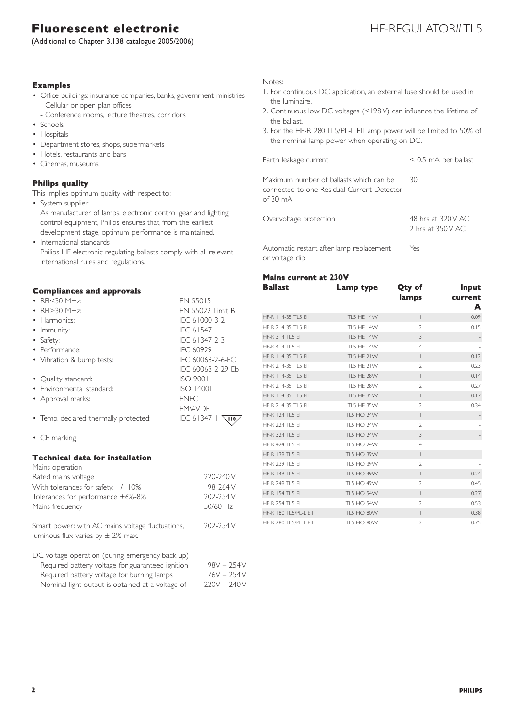(Additional to Chapter 3.138 catalogue 2005/2006)

### HF-REGULATORILTL5

#### *Examples*

- Office buildings: insurance companies, banks, government ministries - Cellular or open plan offices
- Conference rooms, lecture theatres, corridors
- Schools
- Hospitals
- Department stores, shops, supermarkets
- Hotels, restaurants and bars
- Cinemas, museums.

### *Philips quality*

This implies optimum quality with respect to:

• System supplier

As manufacturer of lamps, electronic control gear and lighting control equipment, Philips ensures that, from the earliest development stage, optimum performance is maintained.

• International standards Philips HF electronic regulating ballasts comply with all relevant international rules and regulations.

#### *Compliances and approvals*

| • RFI<30 MHz:                         | <b>EN 55015</b>             |
|---------------------------------------|-----------------------------|
| • $RF > 30 MHz$                       | <b>FN 55022 Limit B</b>     |
| $\bullet$ Harmonics:                  | IEC 61000-3-2               |
| • Immunity:                           | <b>IEC 61547</b>            |
| • Safety:                             | IEC 61347-2-3               |
| • Performance:                        | IEC 60929                   |
| • Vibration & bump tests:             | IEC 60068-2-6-FC            |
|                                       | IFC 60068-2-29-Fb           |
| • Quality standard:                   | <b>ISO 9001</b>             |
| • Environmental standard:             | ISO 14001                   |
| • Approval marks:                     | <b>ENEC</b>                 |
|                                       | <b>FMV-VDF</b>              |
| • Temp. declared thermally protected: | IEC 61347-1<br>$\sqrt{110}$ |
| • CE marking                          |                             |
|                                       |                             |

#### *Technical data for installation*

| Mains operation                                                                           |               |
|-------------------------------------------------------------------------------------------|---------------|
| Rated mains voltage                                                                       | 220-240 V     |
| With tolerances for safety: +/- 10%                                                       | 198-264 V     |
| Tolerances for performance +6%-8%                                                         | 202-254 V     |
| Mains frequency                                                                           | 50/60 Hz      |
| Smart power: with AC mains voltage fluctuations,<br>luminous flux varies by $\pm$ 2% max. | 202-254 V     |
| DC voltage operation (during emergency back-up)                                           |               |
| Required battery voltage for guaranteed ignition                                          | $198V - 254V$ |
| Required battery voltage for burning lamps                                                | $176V - 254V$ |
| Nominal light output is obtained at a voltage of                                          | $220V - 240V$ |

#### Notes:

- 1. For continuous DC application, an external fuse should be used in the luminaire.
- 2. Continuous low DC voltages (<198 V) can influence the lifetime of the ballast.
- 3. For the HF-R 280 TL5/PL-L EII lamp power will be limited to 50% of the nominal lamp power when operating on DC.

| Earth leakage current                                                                                       | $<$ 0.5 mA per ballast                                       |
|-------------------------------------------------------------------------------------------------------------|--------------------------------------------------------------|
| Maximum number of ballasts which can be<br>connected to one Residual Current Detector<br>of $30 \text{ mA}$ | 30                                                           |
| Overvoltage protection                                                                                      | 48 hrs at 320 V AC<br>$2 \text{ hrs}$ at $350 \text{ V}$ AC. |

Automatic restart after lamp replacement Yes or voltage dip

#### *Mains current at 230V*

| <b>Ballast</b>          | Lamp type         | Qty of<br>lamps | Input<br>current<br>A |
|-------------------------|-------------------|-----------------|-----------------------|
| HF-R 114-35 TL5 Ell     | <b>TL5 HE 14W</b> | $\mathbf{I}$    | 0.09                  |
| HF-R 214-35 TL5 EII     | <b>TL5 HE 14W</b> | $\overline{2}$  | 0.15                  |
| <b>HF-R 314 TL5 EII</b> | <b>TL5 HE 14W</b> | 3               |                       |
| <b>HF-R 414 TL5 EII</b> | <b>TL5 HE 14W</b> | $\overline{4}$  |                       |
| HF-R 114-35 TL5 EII     | TL5 HE 21W        | L               | 0.12                  |
| HF-R 214-35 TL5 EII     | TL5 HE 21W        | $\overline{2}$  | 0.23                  |
| HF-R   14-35 TL5 Ell    | <b>TL5 HE 28W</b> | $\mathsf{I}$    | 0.14                  |
| HF-R 214-35 TL5 EII     | <b>TL5 HE 28W</b> | $\overline{2}$  | 0.27                  |
| HF-R 114-35 TL5 EII     | TL5 HE 35W        | $\mathbf{I}$    | 0.17                  |
| HF-R 214-35 TL5 EII     | TL5 HE 35W        | $\overline{2}$  | 0.34                  |
| <b>HF-R 124 TL5 EII</b> | <b>TL5 HO 24W</b> | $\mathbf{I}$    |                       |
| <b>HF-R 224 TL5 EII</b> | TL5 HO 24W        | $\overline{2}$  |                       |
| <b>HF-R 324 TL5 EII</b> | <b>TL5 HO 24W</b> | 3               |                       |
| <b>HF-R 424 TL5 EII</b> | TL5 HO 24W        | $\overline{4}$  |                       |
| <b>HF-R 139 TL5 EII</b> | <b>TL5 HO 39W</b> | L               |                       |
| <b>HF-R 239 TL5 EII</b> | TL5 HO 39W        | $\overline{2}$  |                       |
| <b>HF-R 149 TL5 EII</b> | <b>TL5 HO 49W</b> | L               | 0.24                  |
| <b>HF-R 249 TL5 EII</b> | TL5 HO 49W        | $\overline{2}$  | 0.45                  |
| <b>HF-R 154 TL5 EII</b> | <b>TL5 HO 54W</b> | $\overline{1}$  | 0.27                  |
| <b>HF-R 254 TL5 EII</b> | <b>TL5 HO 54W</b> | $\overline{2}$  | 0.53                  |
| HF-R 180 TL5/PL-L EII   | <b>TL5 HO 80W</b> | $\overline{1}$  | 0.38                  |
| HF-R 280 TL5/PL-L EII   | <b>TL5 HO 80W</b> | $\overline{2}$  | 0.75                  |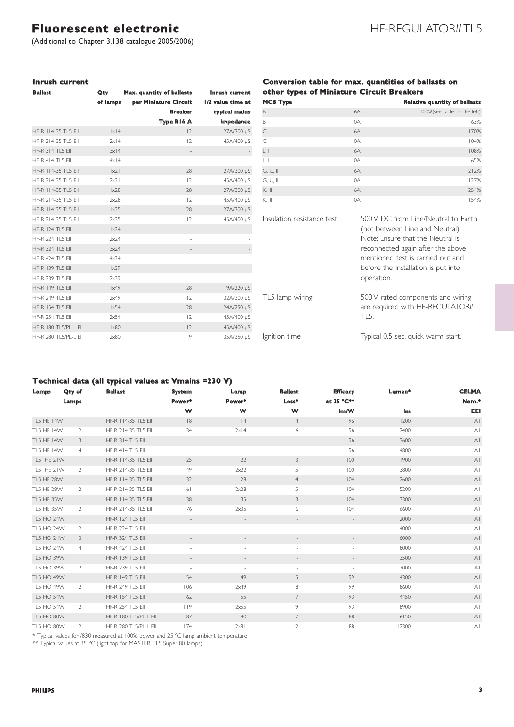(Additional to Chapter 3.138 catalogue 2005/2006)

### *Inrush current*

| <b>Ballast</b>          | Qty                | Max. quantity of ballasts | Inrush current    |
|-------------------------|--------------------|---------------------------|-------------------|
|                         | of lamps           | per Miniature Circuit     | 1/2 value time at |
|                         |                    | <b>Breaker</b>            | typical mains     |
|                         |                    | Type B16 A                | impedance         |
| HF-R   14-35 TL5 EII    | $ x $ 4            | $ 2\rangle$               | 27A/300 µS        |
| HF-R 214-35 TL5 EII     | $2 \times 14$      | $ 2\rangle$               | 45A/400 µS        |
| <b>HF-R 314 TL5 EII</b> | $3x$  4            |                           |                   |
| <b>HF-R 414 TL5 EII</b> | $4x$  4            | à.                        |                   |
| HF-R 114-35 TL5 FIL     | $\vert x^2 \vert$  | 28                        | 27A/300 µS        |
| HF-R 214-35 TL5 EII     | 2x21               | $ 2\rangle$               | 45A/400 µS        |
| HF-R 114-35 TL5 FIL     | $\vert \times 28$  | 28                        | 27A/300 µS        |
| HF-R 214-35 TL5 FII     | 2x28               | $ 2\rangle$               | 45A/400 µS        |
| HF-R 114-35 TL5 FIL     | $1\times35$        | 28                        | 27A/300 µS        |
| HF-R 214-35 TL5 EII     | $2\times35$        | $\vert 2 \rangle$         | 45A/400 µS        |
| <b>HF-R 124 TL5 EII</b> | $1\times24$        |                           |                   |
| HF-R 224 TL5 FIL        | 2x24               |                           |                   |
| <b>HF-R 324 TL5 EII</b> | $3x$ <sup>24</sup> |                           |                   |
| <b>HF-R 424 TL5 EII</b> | 4x24               |                           |                   |
| <b>HF-R 139 TL5 EII</b> | $1\times39$        |                           |                   |
| HF-R 239 TL5 FIL        | 2x39               | ×,                        |                   |
| <b>HF-R 149 TL5 EII</b> | $1\times 49$       | 28                        | 19A/220 µS        |
| <b>HF-R 249 TL5 EII</b> | 2x49               | $ 2\rangle$               | 32A/300 µS        |
| <b>HF-R 154 TL5 EII</b> | 1x54               | 28                        | 24A/250 µS        |
| <b>HF-R 254 TL5 EII</b> | 2x54               | $ 2\rangle$               | 45A/400 µS        |
| HF-R 180 TL5/PL-L EII   | $1\times80$        | 2                         | 45A/400 µS        |
| HF-R 280 TL5/PL-L EII   | $2\times80$        | 9                         | 35A/350 µS        |

#### *Conversion table for max. quantities of ballasts on other types of Miniature Circuit Breakers*

| <b>MCB Type</b> |     | <b>Relative quantity of ballasts</b> |
|-----------------|-----|--------------------------------------|
| B               | 16A | 100%(see table on the left)          |
| B               | 10A | 63%                                  |
| $\subset$       | 16A | 170%                                 |
| C               | 10A | 104%                                 |
| L, I            | 16A | 108%                                 |
| L, I            | 10A | 65%                                  |
| $G, U,$ II      | 16A | 212%                                 |
| G, U, II        | 10A | 127%                                 |
| $K,$ $III$      | 16A | 254%                                 |
| K, III          | 10A | 154%                                 |

Insulation resistance test 500 V DC from Line/Neutral to Earth (not between Line and Neutral) Note: Ensure that the Neutral is reconnected again after the above mentioned test is carried out and before the installation is put into operation.

TL5 lamp wiring 500 V rated components and wiring are required with HF-REGULATOR*II* TL5.

Ignition time Typical 0.5 sec. quick warm start.

#### *Technical data (all typical values at Vmains =230 V)*

|                   |                | . .                     |                          |                          |                          |                          |        |                |
|-------------------|----------------|-------------------------|--------------------------|--------------------------|--------------------------|--------------------------|--------|----------------|
| Lamps             | Qty of         | <b>Ballast</b>          | <b>System</b>            | Lamp                     | <b>Ballast</b>           | <b>Efficacy</b>          | Lumen* | <b>CELMA</b>   |
|                   | Lamps          |                         | Power*                   | Power*                   | $Loss*$                  | at 35 °C**               |        | Nom.*          |
|                   |                |                         | W                        | W                        | w                        | Im/W                     | Im     | EEI            |
| <b>TL5 HE 14W</b> |                | HF-R   14-35 TL5 Ell    | 8                        | 4                        | $\overline{4}$           | 96                       | 1200   | A <sub>1</sub> |
| TL5 HE 14W        | $\overline{2}$ | HF-R 214-35 TL5 Ell     | 34                       | $2 \times 14$            | 6                        | 96                       | 2400   | A              |
| TL5 HE 14W        | 3              | <b>HF-R 314 TL5 EII</b> | $\sim$                   | $\overline{\phantom{a}}$ | $\overline{\phantom{a}}$ | 96                       | 3600   | A <sub>1</sub> |
| TL5 HE 14W        | $\overline{4}$ | <b>HF-R 414 TL5 EII</b> | $\overline{\phantom{a}}$ | $\overline{\phantom{a}}$ | $\sim$                   | 96                       | 4800   | A              |
| TL5 HE 21W        | $\mathbb{L}$   | HF-R 114-35 TL5 Ell     | 25                       | 22                       | 3                        | 100                      | 1900   | A              |
| TL5 HE 21W        | $\mathbf{2}$   | HF-R 214-35 TL5 EII     | 49                       | 2x22                     | 5                        | 100                      | 3800   | A              |
| <b>TL5 HE 28W</b> | $\mathbb{L}$   | HF-R   14-35 TL5 Ell    | 32                       | 28                       | 4                        | 104                      | 2600   | A              |
| TL5 HE 28W        | $\overline{2}$ | HF-R 214-35 TL5 EII     | 61                       | $2\times28$              | 5                        | 104                      | 5200   | A              |
| TL5 HE 35W        | $\mathbb{L}$   | HF-R 114-35 TL5 Ell     | 38                       | 35                       | 3                        | 104                      | 3300   | A <sub>1</sub> |
| TL5 HE 35W        | $\overline{2}$ | HF-R 214-35 TL5 EII     | 76                       | $2\times35$              | 6                        | 104                      | 6600   | A <sub>1</sub> |
| <b>TL5 HO 24W</b> | $\mathbb{L}$   | <b>HF-R 124 TL5 EII</b> | $\overline{\phantom{a}}$ | $\overline{\phantom{a}}$ | $\overline{\phantom{a}}$ | $\overline{\phantom{a}}$ | 2000   | A <sub>1</sub> |
| TL5 HO 24W        | $\overline{2}$ | HF-R 224 TL5 EII        | $\overline{\phantom{a}}$ | $\overline{\phantom{a}}$ | $\sim$                   | $\overline{\phantom{a}}$ | 4000   | A              |
| <b>TL5 HO 24W</b> | 3              | HF-R 324 TL5 Ell        | $\overline{\phantom{a}}$ |                          |                          |                          | 6000   | A <sub>1</sub> |
| <b>TL5 HO 24W</b> | $\overline{4}$ | <b>HF-R 424 TL5 EII</b> | $\overline{\phantom{a}}$ | $\overline{\phantom{a}}$ | $\overline{\phantom{a}}$ | $\overline{\phantom{a}}$ | 8000   | A              |
| <b>TL5 HO 39W</b> | $\mathbf{L}$   | <b>HF-R 139 TL5 EII</b> | $\overline{\phantom{a}}$ |                          | $\sim$                   |                          | 3500   | A <sub>1</sub> |
| TL5 HO 39W        | $\overline{2}$ | HF-R 239 TL5 EII        | $\overline{\phantom{a}}$ | $\sim$                   | $\sim$                   | $\sim$                   | 7000   | A              |
| <b>TL5 HO 49W</b> | $\mathbb{L}$   | <b>HF-R 149 TL5 EII</b> | 54                       | 49                       | 5                        | 99                       | 4300   | A              |
| TL5 HO 49W        | 2              | HF-R 249 TL5 EII        | 106                      | 2x49                     | 8                        | 99                       | 8600   | A <sub>1</sub> |
| <b>TL5 HO 54W</b> | $\mathbb{R}$   | <b>HF-R 154 TL5 EII</b> | 62                       | 55                       | 7                        | 93                       | 4450   | A <sub>1</sub> |
| TL5 HO 54W        | 2              | <b>HF-R 254 TL5 EII</b> | 119                      | $2\times 55$             | 9                        | 93                       | 8900   | A              |
| <b>TL5 HO 80W</b> | $\mathbb{L}$   | HF-R 180 TL5/PL-L EII   | 87                       | 80                       | $\overline{7}$           | 88                       | 6150   | A <sub>1</sub> |
| <b>TL5 HO 80W</b> | 2              | HF-R 280 TL5/PL-L EII   | 174                      | $2\times8$               | 12                       | 88                       | 12300  | ΑI             |

\* Typical values for /830 measured at 100% power and 25 ºC lamp ambient temperature

\*\* Typical values at 35 ºC (light top for MASTER TL5 Super 80 lamps)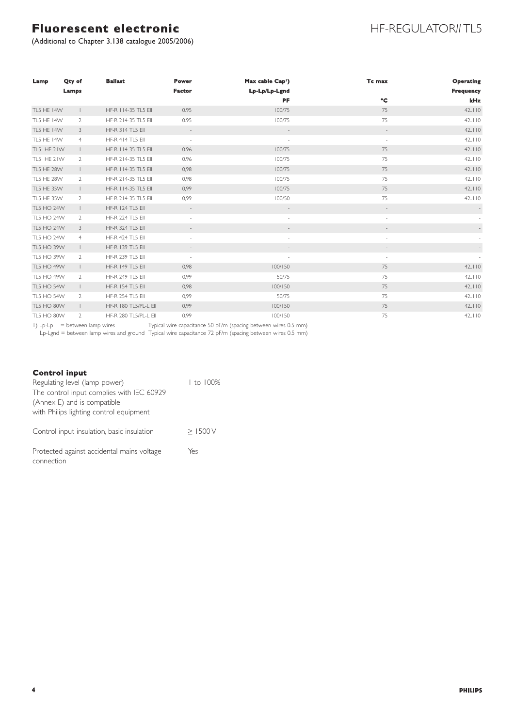(Additional to Chapter 3.138 catalogue 2005/2006)

## HF-REGULATOR*II* TL5

| Lamp              | Qty of<br>Lamps | <b>Ballast</b>          | <b>Power</b><br><b>Factor</b> | Max cable Cap <sup>1</sup> )<br>Lp-Lp/Lp-Lgnd | Tc max                   | <b>Operating</b><br><b>Frequency</b> |
|-------------------|-----------------|-------------------------|-------------------------------|-----------------------------------------------|--------------------------|--------------------------------------|
|                   |                 |                         |                               | PF                                            | °C                       | kHz                                  |
| <b>TL5 HE 14W</b> | $\mathbf{L}$    | HF-R 114-35 TL5 Ell     | 0.95                          | 100/75                                        | 75                       | 42.110                               |
| <b>TL5 HE 14W</b> | $\overline{2}$  | HF-R 214-35 TL5 EII     | 0.95                          | 100/75                                        | 75                       | 42.110                               |
| TL5 HE 14W        | 3               | <b>HF-R 314 TL5 EII</b> | $\overline{\phantom{a}}$      |                                               |                          | 42.110                               |
| TL5 HE 14W        | $\overline{4}$  | <b>HF-R 414 TL5 EII</b> | $\overline{\phantom{a}}$      |                                               | $\sim$                   | 42.110                               |
| TL5 HE 21W        | $\mathbb{L}$    | HF-R 114-35 TL5 Ell     | 0.96                          | 100/75                                        | 75                       | 42.110                               |
| TL5 HE 21W        | $\overline{2}$  | HF-R 214-35 TL5 EII     | 0.96                          | 100/75                                        | 75                       | 42.110                               |
| <b>TL5 HE 28W</b> | $\mathbf{L}$    | HF-R 114-35 TL5 Ell     | 0,98                          | 100/75                                        | 75                       | 42.110                               |
| TL5 HE 28W        | $\overline{2}$  | HF-R 214-35 TL5 EII     | 0,98                          | 100/75                                        | 75                       | 42.110                               |
| TL5 HE 35W        | $\mathbb{L}$    | HF-R 114-35 TL5 Ell     | 0,99                          | 100/75                                        | 75                       | 42.110                               |
| TL5 HE 35W        | $\overline{2}$  | HF-R 214-35 TL5 EII     | 0,99                          | 100/50                                        | 75                       | 42.110                               |
| <b>TL5 HO 24W</b> | $\mathbf{L}$    | <b>HF-R 124 TL5 Ell</b> | $\overline{\phantom{a}}$      |                                               |                          |                                      |
| TL5 HO 24W        | $\overline{2}$  | HF-R 224 TL5 Ell        | $\overline{\phantom{a}}$      | $\overline{\phantom{a}}$                      | $\overline{\phantom{a}}$ |                                      |
| <b>TL5 HO 24W</b> | 3               | HF-R 324 TL5 Ell        | $\frac{1}{2}$                 |                                               |                          |                                      |
| TL5 HO 24W        | $\overline{4}$  | <b>HF-R 424 TL5 EII</b> | $\blacksquare$                | $\sim$                                        | $\overline{\phantom{a}}$ |                                      |
| <b>TL5 HO 39W</b> | $\mathbb{L}$    | <b>HF-R 139 TL5 EII</b> | $\overline{\phantom{a}}$      |                                               |                          |                                      |
| TL5 HO 39W        | $\overline{2}$  | HF-R 239 TL5 Ell        | $\overline{\phantom{a}}$      |                                               | $\sim$                   |                                      |
| <b>TL5 HO 49W</b> | $\mathbb{L}$    | <b>HF-R 149 TL5 EII</b> | 0,98                          | 100/150                                       | 75                       | 42.110                               |
| TL5 HO 49W        | 2               | HF-R 249 TL5 Ell        | 0,99                          | 50/75                                         | 75                       | 42.110                               |
| <b>TL5 HO 54W</b> | $\mathbb{L}$    | <b>HF-R 154 TL5 EII</b> | 0,98                          | 100/150                                       | 75                       | 42.110                               |
| TL5 HO 54W        | $\overline{2}$  | <b>HF-R 254 TL5 EII</b> | 0,99                          | 50/75                                         | 75                       | 42.110                               |
| <b>TL5 HO 80W</b> | $\mathbb{L}$    | HF-R 180 TL5/PL-L EII   | 0,99                          | 100/150                                       | 75                       | 42.110                               |
| TL5 HO 80W        | $\overline{2}$  | HF-R 280 TL5/PL-L EII   | 0.99                          | 100/150                                       | 75                       | 42.110                               |

1) Lp-Lp = between lamp wires Typical wire capacitance 50 pF/m (spacing between wires 0.5 mm)

Lp-Lgnd = between lamp wires and ground Typical wire capacitance 72 pF/m (spacing between wires 0.5 mm)

#### *Control input*

| Regulating level (lamp power)              | 1 to 100% |
|--------------------------------------------|-----------|
| The control input complies with IEC 60929  |           |
| (Annex E) and is compatible                |           |
| with Philips lighting control equipment    |           |
|                                            |           |
| Control input insulation, basic insulation | >1500V    |
|                                            |           |
| Protected against accidental mains voltage | Yes       |
| connection                                 |           |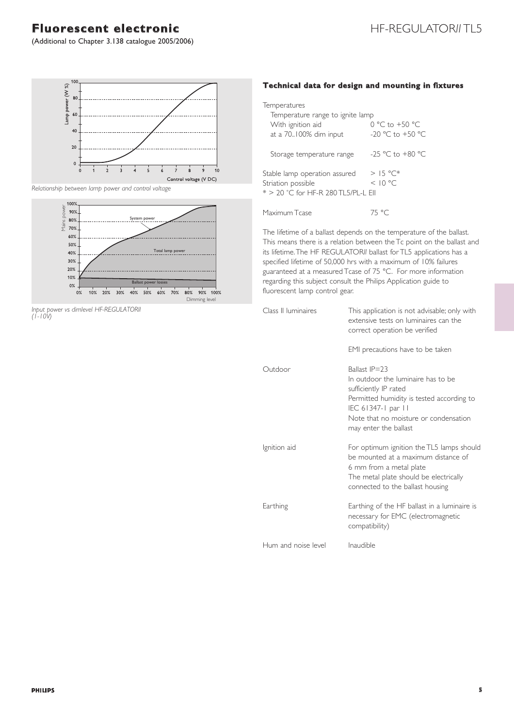### **Fluorescent electronic HE-REGULATORIITL5**

(Additional to Chapter 3.138 catalogue 2005/2006)



*Relationship between lamp power and control voltage*



*Input power vs dimlevel HF-REGULATORII (1-10V)*

### *Technical data for design and mounting in fixtures*

| Temperatures<br>Temperature range to ignite lamp                                           |                                            |
|--------------------------------------------------------------------------------------------|--------------------------------------------|
| With ignition aid<br>at a 70.100% dim input                                                | $0 °C$ to $+50 °C$<br>$-20$ °C to $+50$ °C |
| Storage temperature range                                                                  | $-25$ °C to $+80$ °C                       |
| Stable lamp operation assured<br>Striation possible<br>* > 20 °C for HF-R 280 TL5/PL-L EII | $>15^{\circ}$ C*<br>< 10 °C                |
| Maximum Tcase                                                                              | 75 °C                                      |

The lifetime of a ballast depends on the temperature of the ballast. This means there is a relation between the Tc point on the ballast and its lifetime.The HF REGULATOR*II* ballast for TL5 applications has a specified lifetime of 50,000 hrs with a maximum of 10% failures guaranteed at a measured Tcase of 75 °C. For more information regarding this subject consult the Philips Application guide to fluorescent lamp control gear.

| Class II luminaires | This application is not advisable; only with<br>extensive tests on luminaires can the<br>correct operation be verified                                                                                            |
|---------------------|-------------------------------------------------------------------------------------------------------------------------------------------------------------------------------------------------------------------|
|                     | EMI precautions have to be taken                                                                                                                                                                                  |
| Outdoor             | Ballast IP=23<br>In outdoor the luminaire has to be<br>sufficiently IP rated<br>Permitted humidity is tested according to<br>IEC 61347-1 par 11<br>Note that no moisture or condensation<br>may enter the ballast |
| Ignition aid        | For optimum ignition the TL5 lamps should<br>be mounted at a maximum distance of<br>6 mm from a metal plate<br>The metal plate should be electrically<br>connected to the ballast housing                         |
| Earthing            | Earthing of the HF ballast in a luminaire is<br>necessary for EMC (electromagnetic<br>compatibility)                                                                                                              |
| Hum and noise level | Inaudible                                                                                                                                                                                                         |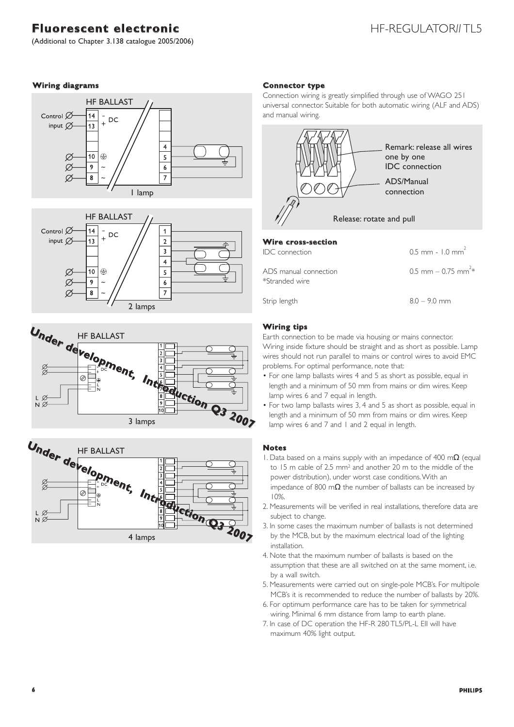# **Fluorescent electronic HE-REGULATORIIII** 5

(Additional to Chapter 3.138 catalogue 2005/2006)

#### *Wiring diagrams*







Under development, Introduction Q3 2007

#### *Connector type*

Connection wiring is greatly simplified through use of WAGO 251 universal connector. Suitable for both automatic wiring (ALF and ADS) and manual wiring.



| Wire cross-section                      |                                  |
|-----------------------------------------|----------------------------------|
| <b>IDC</b> connection                   | $0.5$ mm - 1.0 mm <sup>2</sup>   |
| ADS manual connection<br>*Stranded wire | 0.5 mm $-$ 0.75 mm <sup>2*</sup> |
| $C + \sin \theta$                       | $Q \cap m$                       |

#### *Wiring tips*

Earth connection to be made via housing or mains connector. Wiring inside fixture should be straight and as short as possible. Lamp wires should not run parallel to mains or control wires to avoid EMC problems. For optimal performance, note that:

- For one lamp ballasts wires 4 and 5 as short as possible, equal in length and a minimum of 50 mm from mains or dim wires. Keep lamp wires 6 and 7 equal in length.
- For two lamp ballasts wires 3, 4 and 5 as short as possible, equal in length and a minimum of 50 mm from mains or dim wires. Keep lamp wires 6 and 7 and 1 and 2 equal in length.

#### *Notes*

- 1. Data based on a mains supply with an impedance of 400 m $\Omega$  (equal to 15 m cable of 2.5 mm2 and another 20 m to the middle of the power distribution), under worst case conditions.With an impedance of 800 m $\Omega$  the number of ballasts can be increased by 10%.
- 2. Measurements will be verified in real installations, therefore data are subject to change.
- 3. In some cases the maximum number of ballasts is not determined by the MCB, but by the maximum electrical load of the lighting installation.
- 4. Note that the maximum number of ballasts is based on the assumption that these are all switched on at the same moment, i.e. by a wall switch.
- 5. Measurements were carried out on single-pole MCB's. For multipole MCB's it is recommended to reduce the number of ballasts by 20%.
- 6. For optimum performance care has to be taken for symmetrical wiring. Minimal 6 mm distance from lamp to earth plane.
- 7. In case of DC operation the HF-R 280 TL5/PL-L EII will have maximum 40% light output.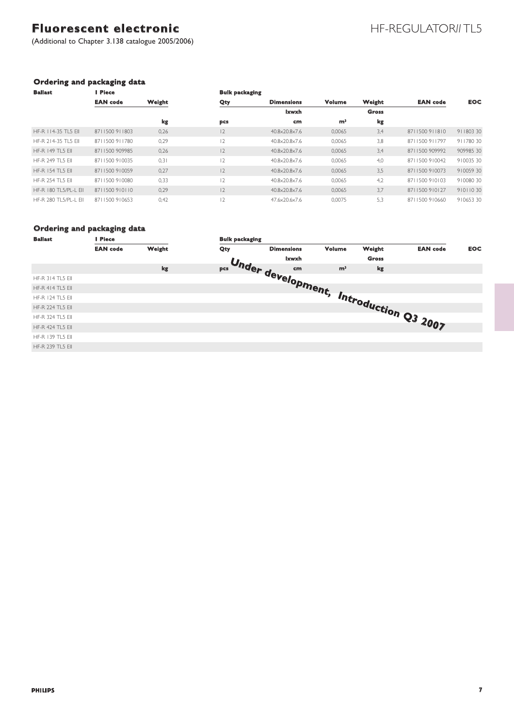# Fluorescent electronic **Fluorescent electronic**

(Additional to Chapter 3.138 catalogue 2005/2006)

### *Ordering and packaging data*

| <b>Ballast</b>          | Piece           |        | <b>Bulk packaging</b> |                   |                |              | <b>EAN</b> code | <b>EOC</b> |
|-------------------------|-----------------|--------|-----------------------|-------------------|----------------|--------------|-----------------|------------|
|                         | <b>EAN</b> code | Weight | Qty                   | <b>Dimensions</b> | Volume         | Weight       |                 |            |
|                         |                 |        |                       | Ixwxh             |                | <b>Gross</b> |                 |            |
|                         |                 | kg     | pcs                   | cm                | m <sup>3</sup> | kg           |                 |            |
| HF-R 114-35 TL5 EII     | 8711500911803   | 0.26   | 12                    | 40.8×20.8×7.6     | 0.0065         | 3,4          | 8711500911810   | 91180330   |
| HF-R 214-35 TL5 FIL     | 8711500911780   | 0,29   | $\overline{2}$        | 40.8×20.8×7.6     | 0,0065         | 3,8          | 8711500911797   | 91178030   |
| <b>HF-R 149 TL5 EII</b> | 8711500909985   | 0,26   | 2                     | 40.8×20.8×7.6     | 0,0065         | 3,4          | 8711500909992   | 909985 30  |
| HF-R 249 TL5 FIL        | 8711500910035   | 0,31   | $\overline{2}$        | 40.8×20.8×7.6     | 0.0065         | 4,0          | 8711500910042   | 91003530   |
| HF-R 154 TL5 FIL        | 8711500910059   | 0,27   | 12                    | 40.8×20.8×7.6     | 0,0065         | 3,5          | 8711500910073   | 91005930   |
| <b>HF-R 254 TL5 EII</b> | 8711500910080   | 0,33   | $\overline{2}$        | 40.8×20.8×7.6     | 0.0065         | 4,2          | 8711500910103   | 91008030   |
| HF-R 180 TL5/PL-L FIL   | 8711500910110   | 0,29   | 12                    | 40.8×20.8×7.6     | 0.0065         | 3,7          | 8711500910127   | 91011030   |
| HF-R 280 TL5/PL-L EII   | 8711500910653   | 0,42   | 12                    | 47.6×20.6×7.6     | 0.0075         | 5,3          | 8711500910660   | 91065330   |

### *Ordering and packaging data*

| <b>Ballast</b><br><b>Piece</b> |                 |        | <b>Bulk packaging</b> |                                         |        |              |                 |            |
|--------------------------------|-----------------|--------|-----------------------|-----------------------------------------|--------|--------------|-----------------|------------|
|                                | <b>EAN</b> code | Weight | Qty                   | <b>Dimensions</b>                       | Volume | Weight       | <b>EAN</b> code | <b>EOC</b> |
|                                |                 |        |                       | <b>Ixwxh</b>                            |        | <b>Gross</b> |                 |            |
|                                |                 | kg     |                       | Under development, Introduction Q3 2007 |        |              |                 |            |
| <b>HF-R 314 TL5 EII</b>        |                 |        |                       |                                         |        |              |                 |            |
| <b>HF-R 414 TL5 EII</b>        |                 |        |                       |                                         |        |              |                 |            |
| <b>HF-R 124 TL5 EII</b>        |                 |        |                       |                                         |        |              |                 |            |
| <b>HF-R 224 TL5 EII</b>        |                 |        |                       |                                         |        |              |                 |            |
| <b>HF-R 324 TL5 EII</b>        |                 |        |                       |                                         |        |              |                 |            |
| <b>HF-R 424 TL5 EII</b>        |                 |        |                       |                                         |        |              |                 |            |
| <b>HF-R 139 TL5 EII</b>        |                 |        |                       |                                         |        |              |                 |            |
| <b>HF-R 239 TL5 EII</b>        |                 |        |                       |                                         |        |              |                 |            |